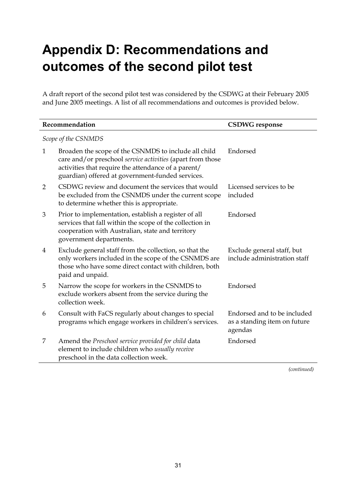## **Appendix D: Recommendations and outcomes of the second pilot test**

A draft report of the second pilot test was considered by the CSDWG at their February 2005 and June 2005 meetings. A list of all recommendations and outcomes is provided below.

| Recommendation      |                                                                                                                                                                                                                               | <b>CSDWG</b> response                                                  |  |  |
|---------------------|-------------------------------------------------------------------------------------------------------------------------------------------------------------------------------------------------------------------------------|------------------------------------------------------------------------|--|--|
| Scope of the CSNMDS |                                                                                                                                                                                                                               |                                                                        |  |  |
| 1                   | Broaden the scope of the CSNMDS to include all child<br>care and/or preschool service activities (apart from those<br>activities that require the attendance of a parent/<br>guardian) offered at government-funded services. | Endorsed                                                               |  |  |
| $\overline{2}$      | CSDWG review and document the services that would<br>be excluded from the CSNMDS under the current scope<br>to determine whether this is appropriate.                                                                         | Licensed services to be<br>included                                    |  |  |
| 3                   | Prior to implementation, establish a register of all<br>services that fall within the scope of the collection in<br>cooperation with Australian, state and territory<br>government departments.                               | Endorsed                                                               |  |  |
| 4                   | Exclude general staff from the collection, so that the<br>only workers included in the scope of the CSNMDS are<br>those who have some direct contact with children, both<br>paid and unpaid.                                  | Exclude general staff, but<br>include administration staff             |  |  |
| 5                   | Narrow the scope for workers in the CSNMDS to<br>exclude workers absent from the service during the<br>collection week.                                                                                                       | Endorsed                                                               |  |  |
| 6                   | Consult with FaCS regularly about changes to special<br>programs which engage workers in children's services.                                                                                                                 | Endorsed and to be included<br>as a standing item on future<br>agendas |  |  |
| 7                   | Amend the Preschool service provided for child data<br>element to include children who usually receive<br>preschool in the data collection week.                                                                              | Endorsed                                                               |  |  |

*(continued)*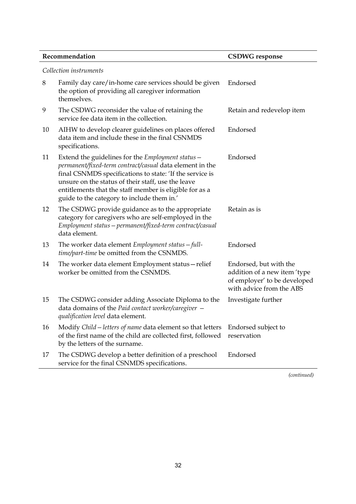| Recommendation         |                                                                                                                                                                                                                                                                                                                                          | <b>CSDWG</b> response                                  |  |  |
|------------------------|------------------------------------------------------------------------------------------------------------------------------------------------------------------------------------------------------------------------------------------------------------------------------------------------------------------------------------------|--------------------------------------------------------|--|--|
| Collection instruments |                                                                                                                                                                                                                                                                                                                                          |                                                        |  |  |
| 8                      | Family day care/in-home care services should be given<br>the option of providing all caregiver information<br>themselves.                                                                                                                                                                                                                | Endorsed                                               |  |  |
| 9                      | The CSDWG reconsider the value of retaining the<br>service fee data item in the collection.                                                                                                                                                                                                                                              | Retain and redevelop item                              |  |  |
| 10                     | AIHW to develop clearer guidelines on places offered<br>data item and include these in the final CSNMDS<br>specifications.                                                                                                                                                                                                               | Endorsed                                               |  |  |
| 11                     | Extend the guidelines for the Employment status -<br>permanent/fixed-term contract/casual data element in the<br>final CSNMDS specifications to state: 'If the service is<br>unsure on the status of their staff, use the leave<br>entitlements that the staff member is eligible for as a<br>guide to the category to include them in.' | Endorsed                                               |  |  |
| 12                     | The CSDWG provide guidance as to the appropriate<br>category for caregivers who are self-employed in the<br>Employment status - permanent/fixed-term contract/casual<br>data element.                                                                                                                                                    | Retain as is                                           |  |  |
| 13                     | The worker data element $Emplogment$ status $-full$ -<br>time/part-time be omitted from the CSNMDS.                                                                                                                                                                                                                                      | Endorsed                                               |  |  |
| 14                     | The worker data element Employment status – relief<br>worker be omitted from the CSNMDS.                                                                                                                                                                                                                                                 | Endorsed, but with the<br>addition of a new item 'type |  |  |

- 15 The CSDWG consider adding Associate Diploma to the data domains of the *Paid contact worker/caregiver qualification level* data element. Investigate further
- 16 Modify *Child—letters of name* data element so that letters of the first name of the child are collected first, followed by the letters of the surname. Endorsed subject to reservation
- 17 The CSDWG develop a better definition of a preschool service for the final CSNMDS specifications. Endorsed

*(continued)*

of employer' to be developed with advice from the ABS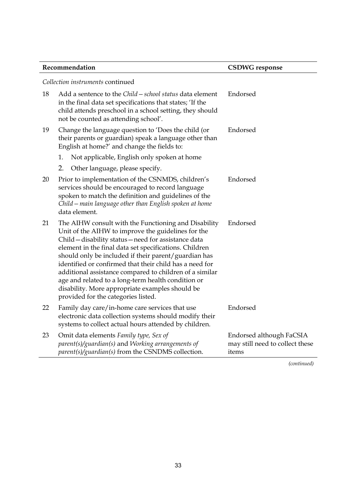| Recommendation |                                                                                                                                                                                                                                                                                                                                                                                                                                                                                                                                                            | <b>CSDWG</b> response                                                |  |  |  |
|----------------|------------------------------------------------------------------------------------------------------------------------------------------------------------------------------------------------------------------------------------------------------------------------------------------------------------------------------------------------------------------------------------------------------------------------------------------------------------------------------------------------------------------------------------------------------------|----------------------------------------------------------------------|--|--|--|
|                | Collection instruments continued                                                                                                                                                                                                                                                                                                                                                                                                                                                                                                                           |                                                                      |  |  |  |
| 18             | Add a sentence to the Child – school status data element<br>in the final data set specifications that states; 'If the<br>child attends preschool in a school setting, they should<br>not be counted as attending school'.                                                                                                                                                                                                                                                                                                                                  | Endorsed                                                             |  |  |  |
| 19             | Change the language question to 'Does the child (or<br>their parents or guardian) speak a language other than<br>English at home?' and change the fields to:                                                                                                                                                                                                                                                                                                                                                                                               | Endorsed                                                             |  |  |  |
|                | Not applicable, English only spoken at home<br>1.                                                                                                                                                                                                                                                                                                                                                                                                                                                                                                          |                                                                      |  |  |  |
|                | 2.<br>Other language, please specify.                                                                                                                                                                                                                                                                                                                                                                                                                                                                                                                      |                                                                      |  |  |  |
| 20             | Prior to implementation of the CSNMDS, children's<br>services should be encouraged to record language<br>spoken to match the definition and guidelines of the<br>Child – main language other than English spoken at home<br>data element.                                                                                                                                                                                                                                                                                                                  | Endorsed                                                             |  |  |  |
| 21             | The AIHW consult with the Functioning and Disability<br>Unit of the AIHW to improve the guidelines for the<br>Child - disability status - need for assistance data<br>element in the final data set specifications. Children<br>should only be included if their parent/guardian has<br>identified or confirmed that their child has a need for<br>additional assistance compared to children of a similar<br>age and related to a long-term health condition or<br>disability. More appropriate examples should be<br>provided for the categories listed. | Endorsed                                                             |  |  |  |
| 22             | Family day care/in-home care services that use<br>electronic data collection systems should modify their<br>systems to collect actual hours attended by children.                                                                                                                                                                                                                                                                                                                                                                                          | Endorsed                                                             |  |  |  |
| 23             | Omit data elements Family type, Sex of<br>parent(s)/guardian(s) and Working arrangements of<br>parent(s)/guardian(s) from the CSNDMS collection.                                                                                                                                                                                                                                                                                                                                                                                                           | Endorsed although FaCSIA<br>may still need to collect these<br>items |  |  |  |

*(continued)*